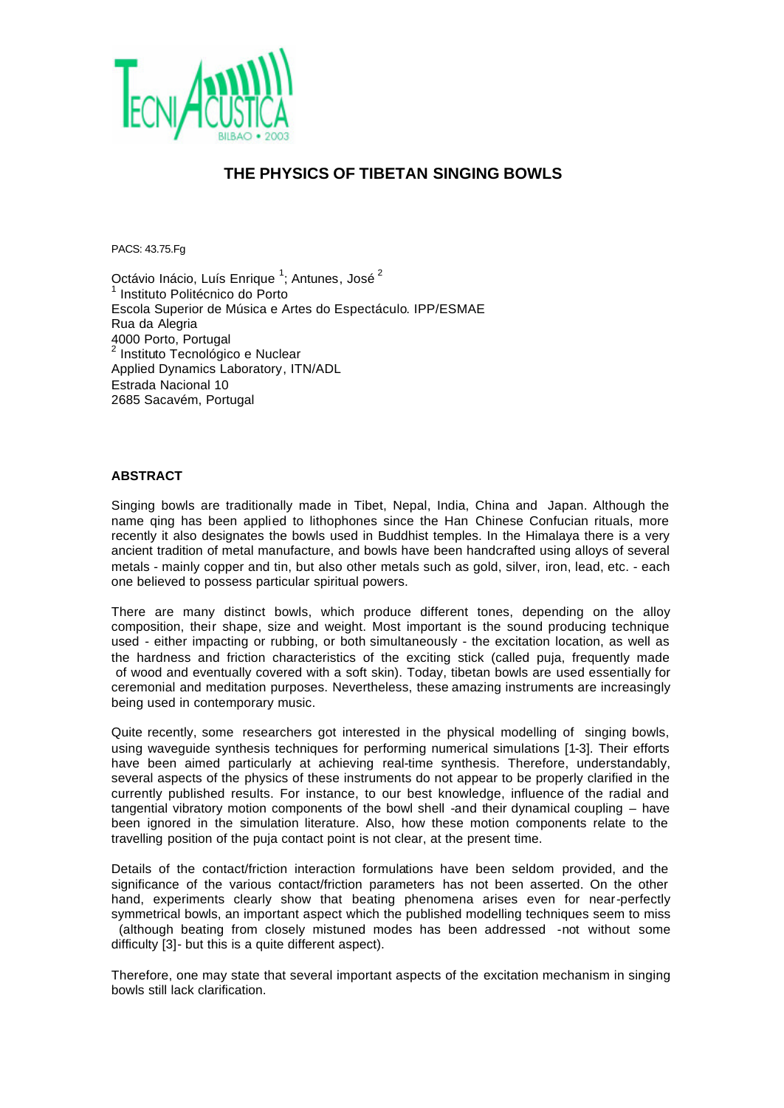

## **THE PHYSICS OF TIBETAN SINGING BOWLS**

PACS: 43.75.Fg

Octávio Inácio, Luís Enrique <sup>1</sup>; Antunes, José <sup>2</sup> 1 Instituto Politécnico do Porto Escola Superior de Música e Artes do Espectáculo. IPP/ESMAE Rua da Alegria 4000 Porto, Portugal 2 Instituto Tecnológico e Nuclear Applied Dynamics Laboratory, ITN/ADL Estrada Nacional 10 2685 Sacavém, Portugal

## **ABSTRACT**

Singing bowls are traditionally made in Tibet, Nepal, India, China and Japan. Although the name qing has been applied to lithophones since the Han Chinese Confucian rituals, more recently it also designates the bowls used in Buddhist temples. In the Himalaya there is a very ancient tradition of metal manufacture, and bowls have been handcrafted using alloys of several metals - mainly copper and tin, but also other metals such as gold, silver, iron, lead, etc. - each one believed to possess particular spiritual powers.

There are many distinct bowls, which produce different tones, depending on the alloy composition, their shape, size and weight. Most important is the sound producing technique used - either impacting or rubbing, or both simultaneously - the excitation location, as well as the hardness and friction characteristics of the exciting stick (called puja, frequently made of wood and eventually covered with a soft skin). Today, tibetan bowls are used essentially for ceremonial and meditation purposes. Nevertheless, these amazing instruments are increasingly being used in contemporary music.

Quite recently, some researchers got interested in the physical modelling of singing bowls, using waveguide synthesis techniques for performing numerical simulations [1-3]. Their efforts have been aimed particularly at achieving real-time synthesis. Therefore, understandably, several aspects of the physics of these instruments do not appear to be properly clarified in the currently published results. For instance, to our best knowledge, influence of the radial and tangential vibratory motion components of the bowl shell -and their dynamical coupling – have been ignored in the simulation literature. Also, how these motion components relate to the travelling position of the puja contact point is not clear, at the present time.

Details of the contact/friction interaction formulations have been seldom provided, and the significance of the various contact/friction parameters has not been asserted. On the other hand, experiments clearly show that beating phenomena arises even for near-perfectly symmetrical bowls, an important aspect which the published modelling techniques seem to miss (although beating from closely mistuned modes has been addressed -not without some difficulty [3]- but this is a quite different aspect).

Therefore, one may state that several important aspects of the excitation mechanism in singing bowls still lack clarification.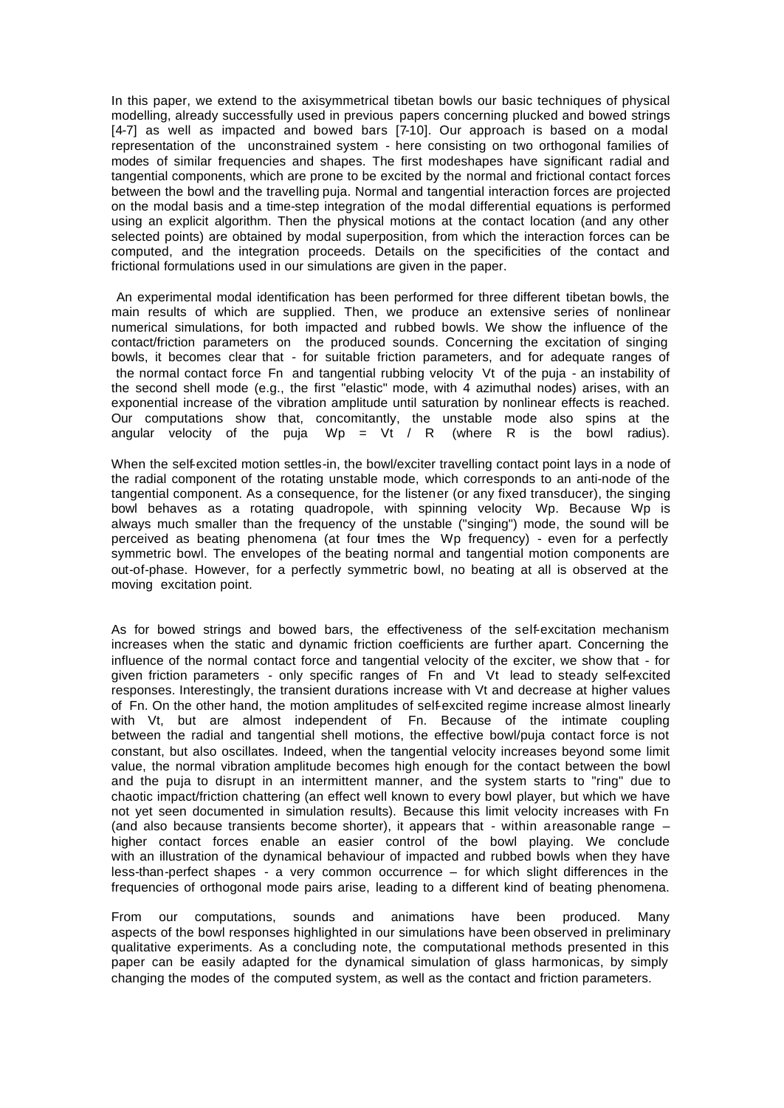In this paper, we extend to the axisymmetrical tibetan bowls our basic techniques of physical modelling, already successfully used in previous papers concerning plucked and bowed strings [4-7] as well as impacted and bowed bars [7-10]. Our approach is based on a modal representation of the unconstrained system - here consisting on two orthogonal families of modes of similar frequencies and shapes. The first modeshapes have significant radial and tangential components, which are prone to be excited by the normal and frictional contact forces between the bowl and the travelling puja. Normal and tangential interaction forces are projected on the modal basis and a time-step integration of the modal differential equations is performed using an explicit algorithm. Then the physical motions at the contact location (and any other selected points) are obtained by modal superposition, from which the interaction forces can be computed, and the integration proceeds. Details on the specificities of the contact and frictional formulations used in our simulations are given in the paper.

 An experimental modal identification has been performed for three different tibetan bowls, the main results of which are supplied. Then, we produce an extensive series of nonlinear numerical simulations, for both impacted and rubbed bowls. We show the influence of the contact/friction parameters on the produced sounds. Concerning the excitation of singing bowls, it becomes clear that - for suitable friction parameters, and for adequate ranges of the normal contact force Fn and tangential rubbing velocity Vt of the puja - an instability of the second shell mode (e.g., the first "elastic" mode, with 4 azimuthal nodes) arises, with an exponential increase of the vibration amplitude until saturation by nonlinear effects is reached. Our computations show that, concomitantly, the unstable mode also spins at the angular velocity of the puja  $Wp = Vt / R$  (where R is the bowl radius).

When the self-excited motion settles-in, the bowl/exciter travelling contact point lays in a node of the radial component of the rotating unstable mode, which corresponds to an anti-node of the tangential component. As a consequence, for the listener (or any fixed transducer), the singing bowl behaves as a rotating quadropole, with spinning velocity Wp. Because Wp is always much smaller than the frequency of the unstable ("singing") mode, the sound will be perceived as beating phenomena (at four tmes the Wp frequency) - even for a perfectly symmetric bowl. The envelopes of the beating normal and tangential motion components are out-of-phase. However, for a perfectly symmetric bowl, no beating at all is observed at the moving excitation point.

As for bowed strings and bowed bars, the effectiveness of the self-excitation mechanism increases when the static and dynamic friction coefficients are further apart. Concerning the influence of the normal contact force and tangential velocity of the exciter, we show that - for given friction parameters - only specific ranges of Fn and Vt lead to steady self-excited responses. Interestingly, the transient durations increase with Vt and decrease at higher values of Fn. On the other hand, the motion amplitudes of self-excited regime increase almost linearly with Vt, but are almost independent of Fn. Because of the intimate coupling between the radial and tangential shell motions, the effective bowl/puja contact force is not constant, but also oscillates. Indeed, when the tangential velocity increases beyond some limit value, the normal vibration amplitude becomes high enough for the contact between the bowl and the puja to disrupt in an intermittent manner, and the system starts to "ring" due to chaotic impact/friction chattering (an effect well known to every bowl player, but which we have not yet seen documented in simulation results). Because this limit velocity increases with Fn (and also because transients become shorter), it appears that - within a reasonable range – higher contact forces enable an easier control of the bowl playing. We conclude with an illustration of the dynamical behaviour of impacted and rubbed bowls when they have less-than-perfect shapes - a very common occurrence – for which slight differences in the frequencies of orthogonal mode pairs arise, leading to a different kind of beating phenomena.

From our computations, sounds and animations have been produced. Many aspects of the bowl responses highlighted in our simulations have been observed in preliminary qualitative experiments. As a concluding note, the computational methods presented in this paper can be easily adapted for the dynamical simulation of glass harmonicas, by simply changing the modes of the computed system, as well as the contact and friction parameters.